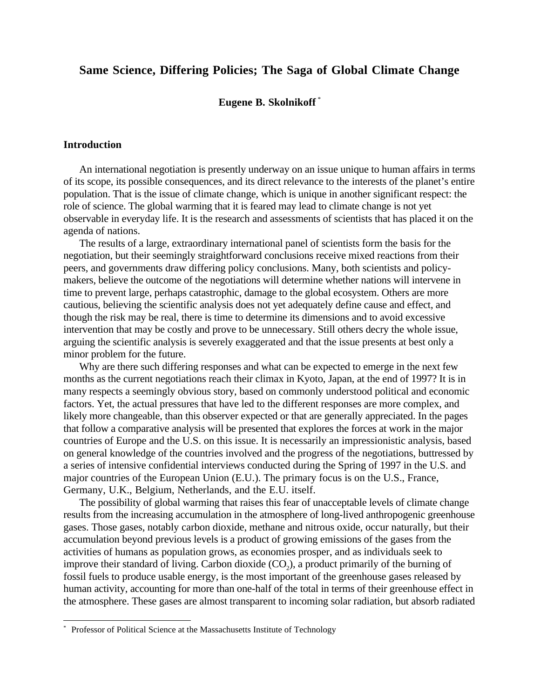# **Same Science, Differing Policies; The Saga of Global Climate Change**

## **Eugene B. Skolnikoff** \*

### **Introduction**

 $\overline{a}$ 

An international negotiation is presently underway on an issue unique to human affairs in terms of its scope, its possible consequences, and its direct relevance to the interests of the planet's entire population. That is the issue of climate change, which is unique in another significant respect: the role of science. The global warming that it is feared may lead to climate change is not yet observable in everyday life. It is the research and assessments of scientists that has placed it on the agenda of nations.

The results of a large, extraordinary international panel of scientists form the basis for the negotiation, but their seemingly straightforward conclusions receive mixed reactions from their peers, and governments draw differing policy conclusions. Many, both scientists and policymakers, believe the outcome of the negotiations will determine whether nations will intervene in time to prevent large, perhaps catastrophic, damage to the global ecosystem. Others are more cautious, believing the scientific analysis does not yet adequately define cause and effect, and though the risk may be real, there is time to determine its dimensions and to avoid excessive intervention that may be costly and prove to be unnecessary. Still others decry the whole issue, arguing the scientific analysis is severely exaggerated and that the issue presents at best only a minor problem for the future.

Why are there such differing responses and what can be expected to emerge in the next few months as the current negotiations reach their climax in Kyoto, Japan, at the end of 1997? It is in many respects a seemingly obvious story, based on commonly understood political and economic factors. Yet, the actual pressures that have led to the different responses are more complex, and likely more changeable, than this observer expected or that are generally appreciated. In the pages that follow a comparative analysis will be presented that explores the forces at work in the major countries of Europe and the U.S. on this issue. It is necessarily an impressionistic analysis, based on general knowledge of the countries involved and the progress of the negotiations, buttressed by a series of intensive confidential interviews conducted during the Spring of 1997 in the U.S. and major countries of the European Union (E.U.). The primary focus is on the U.S., France, Germany, U.K., Belgium, Netherlands, and the E.U. itself.

The possibility of global warming that raises this fear of unacceptable levels of climate change results from the increasing accumulation in the atmosphere of long-lived anthropogenic greenhouse gases. Those gases, notably carbon dioxide, methane and nitrous oxide, occur naturally, but their accumulation beyond previous levels is a product of growing emissions of the gases from the activities of humans as population grows, as economies prosper, and as individuals seek to improve their standard of living. Carbon dioxide  $(CO<sub>2</sub>)$ , a product primarily of the burning of fossil fuels to produce usable energy, is the most important of the greenhouse gases released by human activity, accounting for more than one-half of the total in terms of their greenhouse effect in the atmosphere. These gases are almost transparent to incoming solar radiation, but absorb radiated

<sup>\*</sup> Professor of Political Science at the Massachusetts Institute of Technology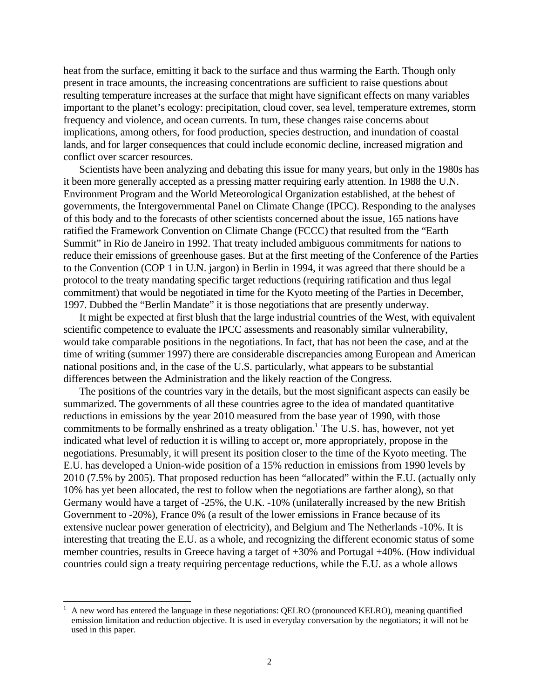heat from the surface, emitting it back to the surface and thus warming the Earth. Though only present in trace amounts, the increasing concentrations are sufficient to raise questions about resulting temperature increases at the surface that might have significant effects on many variables important to the planet's ecology: precipitation, cloud cover, sea level, temperature extremes, storm frequency and violence, and ocean currents. In turn, these changes raise concerns about implications, among others, for food production, species destruction, and inundation of coastal lands, and for larger consequences that could include economic decline, increased migration and conflict over scarcer resources.

Scientists have been analyzing and debating this issue for many years, but only in the 1980s has it been more generally accepted as a pressing matter requiring early attention. In 1988 the U.N. Environment Program and the World Meteorological Organization established, at the behest of governments, the Intergovernmental Panel on Climate Change (IPCC). Responding to the analyses of this body and to the forecasts of other scientists concerned about the issue, 165 nations have ratified the Framework Convention on Climate Change (FCCC) that resulted from the "Earth Summit" in Rio de Janeiro in 1992. That treaty included ambiguous commitments for nations to reduce their emissions of greenhouse gases. But at the first meeting of the Conference of the Parties to the Convention (COP 1 in U.N. jargon) in Berlin in 1994, it was agreed that there should be a protocol to the treaty mandating specific target reductions (requiring ratification and thus legal commitment) that would be negotiated in time for the Kyoto meeting of the Parties in December, 1997. Dubbed the "Berlin Mandate" it is those negotiations that are presently underway.

It might be expected at first blush that the large industrial countries of the West, with equivalent scientific competence to evaluate the IPCC assessments and reasonably similar vulnerability, would take comparable positions in the negotiations. In fact, that has not been the case, and at the time of writing (summer 1997) there are considerable discrepancies among European and American national positions and, in the case of the U.S. particularly, what appears to be substantial differences between the Administration and the likely reaction of the Congress.

The positions of the countries vary in the details, but the most significant aspects can easily be summarized. The governments of all these countries agree to the idea of mandated quantitative reductions in emissions by the year 2010 measured from the base year of 1990, with those commitments to be formally enshrined as a treaty obligation.<sup>1</sup> The U.S. has, however, not yet indicated what level of reduction it is willing to accept or, more appropriately, propose in the negotiations. Presumably, it will present its position closer to the time of the Kyoto meeting. The E.U. has developed a Union-wide position of a 15% reduction in emissions from 1990 levels by 2010 (7.5% by 2005). That proposed reduction has been "allocated" within the E.U. (actually only 10% has yet been allocated, the rest to follow when the negotiations are farther along), so that Germany would have a target of -25%, the U.K. -10% (unilaterally increased by the new British Government to -20%), France 0% (a result of the lower emissions in France because of its extensive nuclear power generation of electricity), and Belgium and The Netherlands -10%. It is interesting that treating the E.U. as a whole, and recognizing the different economic status of some member countries, results in Greece having a target of +30% and Portugal +40%. (How individual countries could sign a treaty requiring percentage reductions, while the E.U. as a whole allows

<sup>1</sup> A new word has entered the language in these negotiations: QELRO (pronounced KELRO), meaning quantified emission limitation and reduction objective. It is used in everyday conversation by the negotiators; it will not be used in this paper.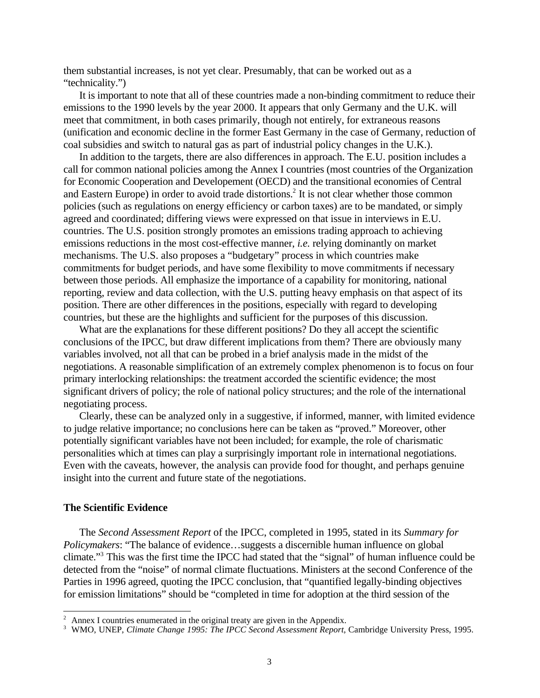them substantial increases, is not yet clear. Presumably, that can be worked out as a "technicality.")

It is important to note that all of these countries made a non-binding commitment to reduce their emissions to the 1990 levels by the year 2000. It appears that only Germany and the U.K. will meet that commitment, in both cases primarily, though not entirely, for extraneous reasons (unification and economic decline in the former East Germany in the case of Germany, reduction of coal subsidies and switch to natural gas as part of industrial policy changes in the U.K.).

In addition to the targets, there are also differences in approach. The E.U. position includes a call for common national policies among the Annex I countries (most countries of the Organization for Economic Cooperation and Developement (OECD) and the transitional economies of Central and Eastern Europe) in order to avoid trade distortions.<sup>2</sup> It is not clear whether those common policies (such as regulations on energy efficiency or carbon taxes) are to be mandated, or simply agreed and coordinated; differing views were expressed on that issue in interviews in E.U. countries. The U.S. position strongly promotes an emissions trading approach to achieving emissions reductions in the most cost-effective manner, *i.e.* relying dominantly on market mechanisms. The U.S. also proposes a "budgetary" process in which countries make commitments for budget periods, and have some flexibility to move commitments if necessary between those periods. All emphasize the importance of a capability for monitoring, national reporting, review and data collection, with the U.S. putting heavy emphasis on that aspect of its position. There are other differences in the positions, especially with regard to developing countries, but these are the highlights and sufficient for the purposes of this discussion.

What are the explanations for these different positions? Do they all accept the scientific conclusions of the IPCC, but draw different implications from them? There are obviously many variables involved, not all that can be probed in a brief analysis made in the midst of the negotiations. A reasonable simplification of an extremely complex phenomenon is to focus on four primary interlocking relationships: the treatment accorded the scientific evidence; the most significant drivers of policy; the role of national policy structures; and the role of the international negotiating process.

Clearly, these can be analyzed only in a suggestive, if informed, manner, with limited evidence to judge relative importance; no conclusions here can be taken as "proved." Moreover, other potentially significant variables have not been included; for example, the role of charismatic personalities which at times can play a surprisingly important role in international negotiations. Even with the caveats, however, the analysis can provide food for thought, and perhaps genuine insight into the current and future state of the negotiations.

#### **The Scientific Evidence**

 $\overline{a}$ 

The *Second Assessment Report* of the IPCC, completed in 1995, stated in its *Summary for Policymakers*: "The balance of evidence…suggests a discernible human influence on global climate."3 This was the first time the IPCC had stated that the "signal" of human influence could be detected from the "noise" of normal climate fluctuations. Ministers at the second Conference of the Parties in 1996 agreed, quoting the IPCC conclusion, that "quantified legally-binding objectives for emission limitations" should be "completed in time for adoption at the third session of the

Annex I countries enumerated in the original treaty are given in the Appendix.

<sup>3</sup> WMO, UNEP, *Climate Change 1995: The IPCC Second Assessment Report*, Cambridge University Press, 1995.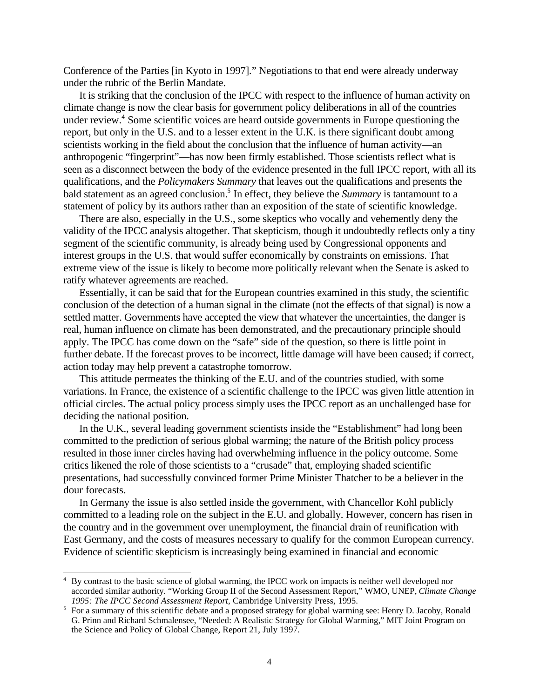Conference of the Parties [in Kyoto in 1997]." Negotiations to that end were already underway under the rubric of the Berlin Mandate.

It is striking that the conclusion of the IPCC with respect to the influence of human activity on climate change is now the clear basis for government policy deliberations in all of the countries under review.<sup>4</sup> Some scientific voices are heard outside governments in Europe questioning the report, but only in the U.S. and to a lesser extent in the U.K. is there significant doubt among scientists working in the field about the conclusion that the influence of human activity—an anthropogenic "fingerprint"—has now been firmly established. Those scientists reflect what is seen as a disconnect between the body of the evidence presented in the full IPCC report, with all its qualifications, and the *Policymakers Summary* that leaves out the qualifications and presents the bald statement as an agreed conclusion.<sup>5</sup> In effect, they believe the *Summary* is tantamount to a statement of policy by its authors rather than an exposition of the state of scientific knowledge.

There are also, especially in the U.S., some skeptics who vocally and vehemently deny the validity of the IPCC analysis altogether. That skepticism, though it undoubtedly reflects only a tiny segment of the scientific community, is already being used by Congressional opponents and interest groups in the U.S. that would suffer economically by constraints on emissions. That extreme view of the issue is likely to become more politically relevant when the Senate is asked to ratify whatever agreements are reached.

Essentially, it can be said that for the European countries examined in this study, the scientific conclusion of the detection of a human signal in the climate (not the effects of that signal) is now a settled matter. Governments have accepted the view that whatever the uncertainties, the danger is real, human influence on climate has been demonstrated, and the precautionary principle should apply. The IPCC has come down on the "safe" side of the question, so there is little point in further debate. If the forecast proves to be incorrect, little damage will have been caused; if correct, action today may help prevent a catastrophe tomorrow.

This attitude permeates the thinking of the E.U. and of the countries studied, with some variations. In France, the existence of a scientific challenge to the IPCC was given little attention in official circles. The actual policy process simply uses the IPCC report as an unchallenged base for deciding the national position.

In the U.K., several leading government scientists inside the "Establishment" had long been committed to the prediction of serious global warming; the nature of the British policy process resulted in those inner circles having had overwhelming influence in the policy outcome. Some critics likened the role of those scientists to a "crusade" that, employing shaded scientific presentations, had successfully convinced former Prime Minister Thatcher to be a believer in the dour forecasts.

In Germany the issue is also settled inside the government, with Chancellor Kohl publicly committed to a leading role on the subject in the E.U. and globally. However, concern has risen in the country and in the government over unemployment, the financial drain of reunification with East Germany, and the costs of measures necessary to qualify for the common European currency. Evidence of scientific skepticism is increasingly being examined in financial and economic

<sup>&</sup>lt;sup>4</sup> By contrast to the basic science of global warming, the IPCC work on impacts is neither well developed nor accorded similar authority. "Working Group II of the Second Assessment Report," WMO, UNEP, *Climate Change 1995: The IPCC Second Assessment Report*, Cambridge University Press, 1995.

<sup>&</sup>lt;sup>5</sup> For a summary of this scientific debate and a proposed strategy for global warming see: Henry D. Jacoby, Ronald G. Prinn and Richard Schmalensee, "Needed: A Realistic Strategy for Global Warming," MIT Joint Program on the Science and Policy of Global Change, Report 21, July 1997.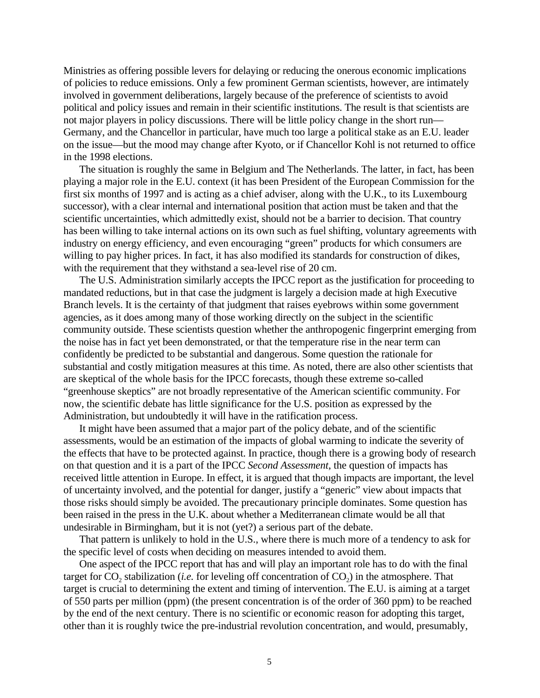Ministries as offering possible levers for delaying or reducing the onerous economic implications of policies to reduce emissions. Only a few prominent German scientists, however, are intimately involved in government deliberations, largely because of the preference of scientists to avoid political and policy issues and remain in their scientific institutions. The result is that scientists are not major players in policy discussions. There will be little policy change in the short run— Germany, and the Chancellor in particular, have much too large a political stake as an E.U. leader on the issue—but the mood may change after Kyoto, or if Chancellor Kohl is not returned to office in the 1998 elections.

The situation is roughly the same in Belgium and The Netherlands. The latter, in fact, has been playing a major role in the E.U. context (it has been President of the European Commission for the first six months of 1997 and is acting as a chief adviser, along with the U.K., to its Luxembourg successor), with a clear internal and international position that action must be taken and that the scientific uncertainties, which admittedly exist, should not be a barrier to decision. That country has been willing to take internal actions on its own such as fuel shifting, voluntary agreements with industry on energy efficiency, and even encouraging "green" products for which consumers are willing to pay higher prices. In fact, it has also modified its standards for construction of dikes, with the requirement that they withstand a sea-level rise of 20 cm.

The U.S. Administration similarly accepts the IPCC report as the justification for proceeding to mandated reductions, but in that case the judgment is largely a decision made at high Executive Branch levels. It is the certainty of that judgment that raises eyebrows within some government agencies, as it does among many of those working directly on the subject in the scientific community outside. These scientists question whether the anthropogenic fingerprint emerging from the noise has in fact yet been demonstrated, or that the temperature rise in the near term can confidently be predicted to be substantial and dangerous. Some question the rationale for substantial and costly mitigation measures at this time. As noted, there are also other scientists that are skeptical of the whole basis for the IPCC forecasts, though these extreme so-called "greenhouse skeptics" are not broadly representative of the American scientific community. For now, the scientific debate has little significance for the U.S. position as expressed by the Administration, but undoubtedly it will have in the ratification process.

It might have been assumed that a major part of the policy debate, and of the scientific assessments, would be an estimation of the impacts of global warming to indicate the severity of the effects that have to be protected against. In practice, though there is a growing body of research on that question and it is a part of the IPCC *Second Assessment*, the question of impacts has received little attention in Europe. In effect, it is argued that though impacts are important, the level of uncertainty involved, and the potential for danger, justify a "generic" view about impacts that those risks should simply be avoided. The precautionary principle dominates. Some question has been raised in the press in the U.K. about whether a Mediterranean climate would be all that undesirable in Birmingham, but it is not (yet?) a serious part of the debate.

That pattern is unlikely to hold in the U.S., where there is much more of a tendency to ask for the specific level of costs when deciding on measures intended to avoid them.

One aspect of the IPCC report that has and will play an important role has to do with the final target for  $CO$ <sub>2</sub> stabilization (*i.e.* for leveling off concentration of  $CO<sub>2</sub>$ ) in the atmosphere. That target is crucial to determining the extent and timing of intervention. The E.U. is aiming at a target of 550 parts per million (ppm) (the present concentration is of the order of 360 ppm) to be reached by the end of the next century. There is no scientific or economic reason for adopting this target, other than it is roughly twice the pre-industrial revolution concentration, and would, presumably,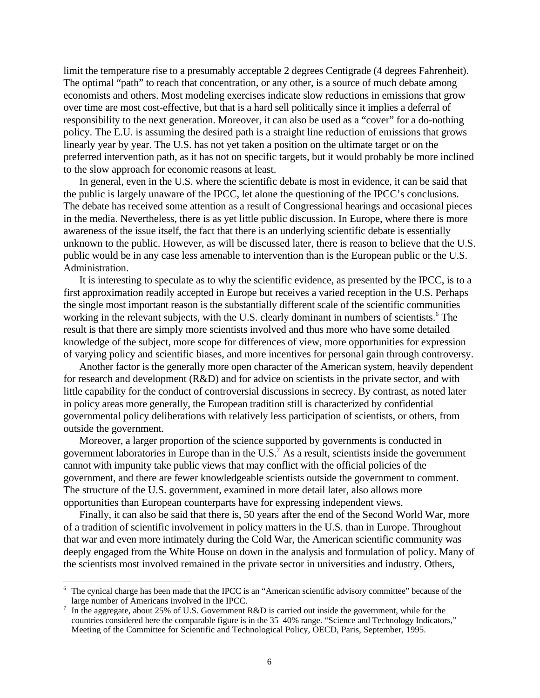limit the temperature rise to a presumably acceptable 2 degrees Centigrade (4 degrees Fahrenheit). The optimal "path" to reach that concentration, or any other, is a source of much debate among economists and others. Most modeling exercises indicate slow reductions in emissions that grow over time are most cost-effective, but that is a hard sell politically since it implies a deferral of responsibility to the next generation. Moreover, it can also be used as a "cover" for a do-nothing policy. The E.U. is assuming the desired path is a straight line reduction of emissions that grows linearly year by year. The U.S. has not yet taken a position on the ultimate target or on the preferred intervention path, as it has not on specific targets, but it would probably be more inclined to the slow approach for economic reasons at least.

In general, even in the U.S. where the scientific debate is most in evidence, it can be said that the public is largely unaware of the IPCC, let alone the questioning of the IPCC's conclusions. The debate has received some attention as a result of Congressional hearings and occasional pieces in the media. Nevertheless, there is as yet little public discussion. In Europe, where there is more awareness of the issue itself, the fact that there is an underlying scientific debate is essentially unknown to the public. However, as will be discussed later, there is reason to believe that the U.S. public would be in any case less amenable to intervention than is the European public or the U.S. Administration.

It is interesting to speculate as to why the scientific evidence, as presented by the IPCC, is to a first approximation readily accepted in Europe but receives a varied reception in the U.S. Perhaps the single most important reason is the substantially different scale of the scientific communities working in the relevant subjects, with the U.S. clearly dominant in numbers of scientists.<sup>6</sup> The result is that there are simply more scientists involved and thus more who have some detailed knowledge of the subject, more scope for differences of view, more opportunities for expression of varying policy and scientific biases, and more incentives for personal gain through controversy.

Another factor is the generally more open character of the American system, heavily dependent for research and development (R&D) and for advice on scientists in the private sector, and with little capability for the conduct of controversial discussions in secrecy. By contrast, as noted later in policy areas more generally, the European tradition still is characterized by confidential governmental policy deliberations with relatively less participation of scientists, or others, from outside the government.

Moreover, a larger proportion of the science supported by governments is conducted in government laboratories in Europe than in the U.S.<sup>7</sup> As a result, scientists inside the government cannot with impunity take public views that may conflict with the official policies of the government, and there are fewer knowledgeable scientists outside the government to comment. The structure of the U.S. government, examined in more detail later, also allows more opportunities than European counterparts have for expressing independent views.

Finally, it can also be said that there is, 50 years after the end of the Second World War, more of a tradition of scientific involvement in policy matters in the U.S. than in Europe. Throughout that war and even more intimately during the Cold War, the American scientific community was deeply engaged from the White House on down in the analysis and formulation of policy. Many of the scientists most involved remained in the private sector in universities and industry. Others,

<sup>&</sup>lt;sup>6</sup> The cynical charge has been made that the IPCC is an "American scientific advisory committee" because of the large number of Americans involved in the IPCC.

<sup>&</sup>lt;sup>7</sup> In the aggregate, about 25% of U.S. Government R&D is carried out inside the government, while for the countries considered here the comparable figure is in the 35–40% range. "Science and Technology Indicators," Meeting of the Committee for Scientific and Technological Policy, OECD, Paris, September, 1995.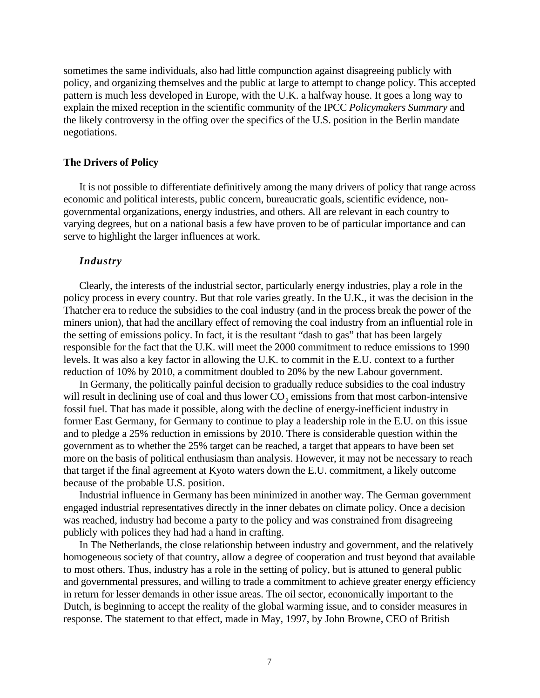sometimes the same individuals, also had little compunction against disagreeing publicly with policy, and organizing themselves and the public at large to attempt to change policy. This accepted pattern is much less developed in Europe, with the U.K. a halfway house. It goes a long way to explain the mixed reception in the scientific community of the IPCC *Policymakers Summary* and the likely controversy in the offing over the specifics of the U.S. position in the Berlin mandate negotiations.

#### **The Drivers of Policy**

It is not possible to differentiate definitively among the many drivers of policy that range across economic and political interests, public concern, bureaucratic goals, scientific evidence, nongovernmental organizations, energy industries, and others. All are relevant in each country to varying degrees, but on a national basis a few have proven to be of particular importance and can serve to highlight the larger influences at work.

### *Industry*

Clearly, the interests of the industrial sector, particularly energy industries, play a role in the policy process in every country. But that role varies greatly. In the U.K., it was the decision in the Thatcher era to reduce the subsidies to the coal industry (and in the process break the power of the miners union), that had the ancillary effect of removing the coal industry from an influential role in the setting of emissions policy. In fact, it is the resultant "dash to gas" that has been largely responsible for the fact that the U.K. will meet the 2000 commitment to reduce emissions to 1990 levels. It was also a key factor in allowing the U.K. to commit in the E.U. context to a further reduction of 10% by 2010, a commitment doubled to 20% by the new Labour government.

In Germany, the politically painful decision to gradually reduce subsidies to the coal industry will result in declining use of coal and thus lower  $CO<sub>2</sub>$  emissions from that most carbon-intensive fossil fuel. That has made it possible, along with the decline of energy-inefficient industry in former East Germany, for Germany to continue to play a leadership role in the E.U. on this issue and to pledge a 25% reduction in emissions by 2010. There is considerable question within the government as to whether the 25% target can be reached, a target that appears to have been set more on the basis of political enthusiasm than analysis. However, it may not be necessary to reach that target if the final agreement at Kyoto waters down the E.U. commitment, a likely outcome because of the probable U.S. position.

Industrial influence in Germany has been minimized in another way. The German government engaged industrial representatives directly in the inner debates on climate policy. Once a decision was reached, industry had become a party to the policy and was constrained from disagreeing publicly with polices they had had a hand in crafting.

In The Netherlands, the close relationship between industry and government, and the relatively homogeneous society of that country, allow a degree of cooperation and trust beyond that available to most others. Thus, industry has a role in the setting of policy, but is attuned to general public and governmental pressures, and willing to trade a commitment to achieve greater energy efficiency in return for lesser demands in other issue areas. The oil sector, economically important to the Dutch, is beginning to accept the reality of the global warming issue, and to consider measures in response. The statement to that effect, made in May, 1997, by John Browne, CEO of British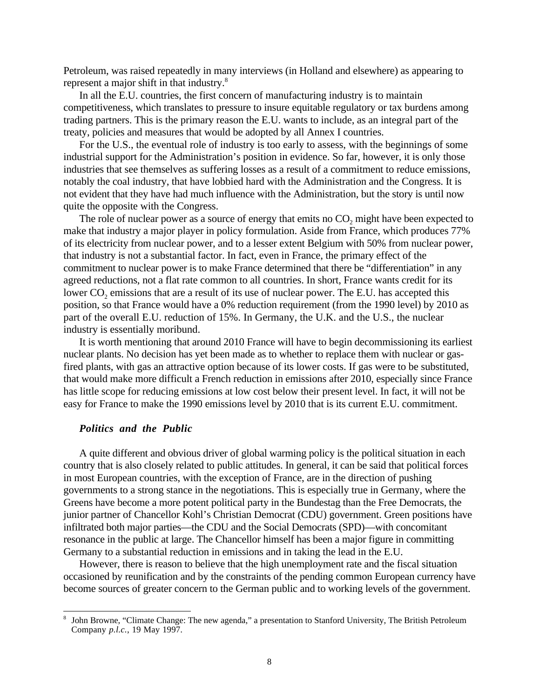Petroleum, was raised repeatedly in many interviews (in Holland and elsewhere) as appearing to represent a major shift in that industry.8

In all the E.U. countries, the first concern of manufacturing industry is to maintain competitiveness, which translates to pressure to insure equitable regulatory or tax burdens among trading partners. This is the primary reason the E.U. wants to include, as an integral part of the treaty, policies and measures that would be adopted by all Annex I countries.

For the U.S., the eventual role of industry is too early to assess, with the beginnings of some industrial support for the Administration's position in evidence. So far, however, it is only those industries that see themselves as suffering losses as a result of a commitment to reduce emissions, notably the coal industry, that have lobbied hard with the Administration and the Congress. It is not evident that they have had much influence with the Administration, but the story is until now quite the opposite with the Congress.

The role of nuclear power as a source of energy that emits no CO<sub>2</sub> might have been expected to make that industry a major player in policy formulation. Aside from France, which produces 77% of its electricity from nuclear power, and to a lesser extent Belgium with 50% from nuclear power, that industry is not a substantial factor. In fact, even in France, the primary effect of the commitment to nuclear power is to make France determined that there be "differentiation" in any agreed reductions, not a flat rate common to all countries. In short, France wants credit for its lower CO<sub>2</sub> emissions that are a result of its use of nuclear power. The E.U. has accepted this position, so that France would have a 0% reduction requirement (from the 1990 level) by 2010 as part of the overall E.U. reduction of 15%. In Germany, the U.K. and the U.S., the nuclear industry is essentially moribund.

It is worth mentioning that around 2010 France will have to begin decommissioning its earliest nuclear plants. No decision has yet been made as to whether to replace them with nuclear or gasfired plants, with gas an attractive option because of its lower costs. If gas were to be substituted, that would make more difficult a French reduction in emissions after 2010, especially since France has little scope for reducing emissions at low cost below their present level. In fact, it will not be easy for France to make the 1990 emissions level by 2010 that is its current E.U. commitment.

### *Politics and the Public*

 $\overline{a}$ 

A quite different and obvious driver of global warming policy is the political situation in each country that is also closely related to public attitudes. In general, it can be said that political forces in most European countries, with the exception of France, are in the direction of pushing governments to a strong stance in the negotiations. This is especially true in Germany, where the Greens have become a more potent political party in the Bundestag than the Free Democrats, the junior partner of Chancellor Kohl's Christian Democrat (CDU) government. Green positions have infiltrated both major parties—the CDU and the Social Democrats (SPD)—with concomitant resonance in the public at large. The Chancellor himself has been a major figure in committing Germany to a substantial reduction in emissions and in taking the lead in the E.U.

However, there is reason to believe that the high unemployment rate and the fiscal situation occasioned by reunification and by the constraints of the pending common European currency have become sources of greater concern to the German public and to working levels of the government.

<sup>8</sup> John Browne, "Climate Change: The new agenda," a presentation to Stanford University, The British Petroleum Company *p.l.c.*, 19 May 1997.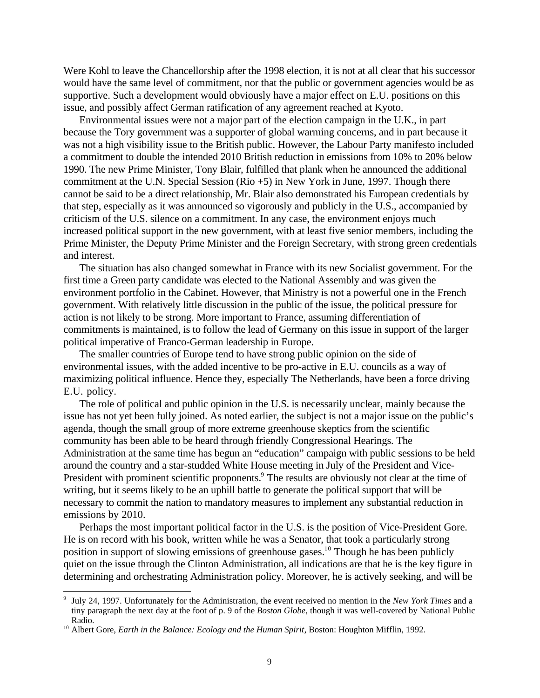Were Kohl to leave the Chancellorship after the 1998 election, it is not at all clear that his successor would have the same level of commitment, nor that the public or government agencies would be as supportive. Such a development would obviously have a major effect on E.U. positions on this issue, and possibly affect German ratification of any agreement reached at Kyoto.

Environmental issues were not a major part of the election campaign in the U.K., in part because the Tory government was a supporter of global warming concerns, and in part because it was not a high visibility issue to the British public. However, the Labour Party manifesto included a commitment to double the intended 2010 British reduction in emissions from 10% to 20% below 1990. The new Prime Minister, Tony Blair, fulfilled that plank when he announced the additional commitment at the U.N. Special Session (Rio +5) in New York in June, 1997. Though there cannot be said to be a direct relationship, Mr. Blair also demonstrated his European credentials by that step, especially as it was announced so vigorously and publicly in the U.S., accompanied by criticism of the U.S. silence on a commitment. In any case, the environment enjoys much increased political support in the new government, with at least five senior members, including the Prime Minister, the Deputy Prime Minister and the Foreign Secretary, with strong green credentials and interest.

The situation has also changed somewhat in France with its new Socialist government. For the first time a Green party candidate was elected to the National Assembly and was given the environment portfolio in the Cabinet. However, that Ministry is not a powerful one in the French government. With relatively little discussion in the public of the issue, the political pressure for action is not likely to be strong. More important to France, assuming differentiation of commitments is maintained, is to follow the lead of Germany on this issue in support of the larger political imperative of Franco-German leadership in Europe.

The smaller countries of Europe tend to have strong public opinion on the side of environmental issues, with the added incentive to be pro-active in E.U. councils as a way of maximizing political influence. Hence they, especially The Netherlands, have been a force driving E.U. policy.

The role of political and public opinion in the U.S. is necessarily unclear, mainly because the issue has not yet been fully joined. As noted earlier, the subject is not a major issue on the public's agenda, though the small group of more extreme greenhouse skeptics from the scientific community has been able to be heard through friendly Congressional Hearings. The Administration at the same time has begun an "education" campaign with public sessions to be held around the country and a star-studded White House meeting in July of the President and Vice-President with prominent scientific proponents.<sup>9</sup> The results are obviously not clear at the time of writing, but it seems likely to be an uphill battle to generate the political support that will be necessary to commit the nation to mandatory measures to implement any substantial reduction in emissions by 2010.

Perhaps the most important political factor in the U.S. is the position of Vice-President Gore. He is on record with his book, written while he was a Senator, that took a particularly strong position in support of slowing emissions of greenhouse gases.<sup>10</sup> Though he has been publicly quiet on the issue through the Clinton Administration, all indications are that he is the key figure in determining and orchestrating Administration policy. Moreover, he is actively seeking, and will be

 9 July 24, 1997. Unfortunately for the Administration, the event received no mention in the *New York Times* and a tiny paragraph the next day at the foot of p. 9 of the *Boston Globe*, though it was well-covered by National Public Radio.

<sup>&</sup>lt;sup>10</sup> Albert Gore, *Earth in the Balance: Ecology and the Human Spirit*, Boston: Houghton Mifflin, 1992.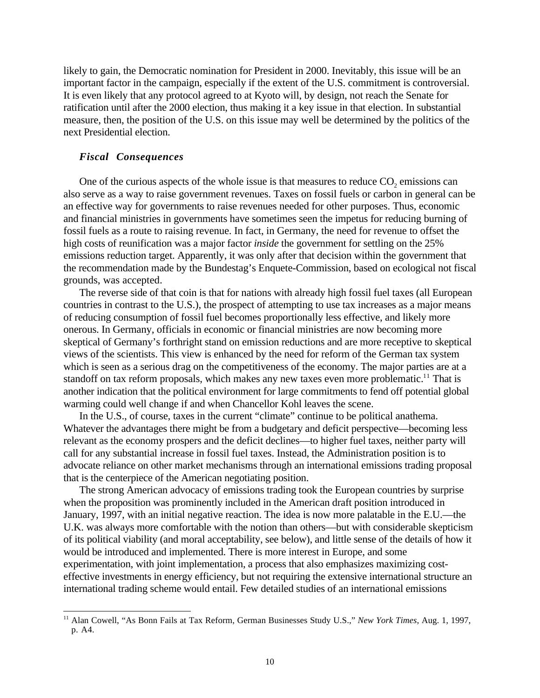likely to gain, the Democratic nomination for President in 2000. Inevitably, this issue will be an important factor in the campaign, especially if the extent of the U.S. commitment is controversial. It is even likely that any protocol agreed to at Kyoto will, by design, not reach the Senate for ratification until after the 2000 election, thus making it a key issue in that election. In substantial measure, then, the position of the U.S. on this issue may well be determined by the politics of the next Presidential election.

### *Fiscal Consequences*

<u>.</u>

One of the curious aspects of the whole issue is that measures to reduce  $CO<sub>2</sub>$  emissions can also serve as a way to raise government revenues. Taxes on fossil fuels or carbon in general can be an effective way for governments to raise revenues needed for other purposes. Thus, economic and financial ministries in governments have sometimes seen the impetus for reducing burning of fossil fuels as a route to raising revenue. In fact, in Germany, the need for revenue to offset the high costs of reunification was a major factor *inside* the government for settling on the 25% emissions reduction target. Apparently, it was only after that decision within the government that the recommendation made by the Bundestag's Enquete-Commission, based on ecological not fiscal grounds, was accepted.

The reverse side of that coin is that for nations with already high fossil fuel taxes (all European countries in contrast to the U.S.), the prospect of attempting to use tax increases as a major means of reducing consumption of fossil fuel becomes proportionally less effective, and likely more onerous. In Germany, officials in economic or financial ministries are now becoming more skeptical of Germany's forthright stand on emission reductions and are more receptive to skeptical views of the scientists. This view is enhanced by the need for reform of the German tax system which is seen as a serious drag on the competitiveness of the economy. The major parties are at a standoff on tax reform proposals, which makes any new taxes even more problematic.<sup>11</sup> That is another indication that the political environment for large commitments to fend off potential global warming could well change if and when Chancellor Kohl leaves the scene.

In the U.S., of course, taxes in the current "climate" continue to be political anathema. Whatever the advantages there might be from a budgetary and deficit perspective—becoming less relevant as the economy prospers and the deficit declines—to higher fuel taxes, neither party will call for any substantial increase in fossil fuel taxes. Instead, the Administration position is to advocate reliance on other market mechanisms through an international emissions trading proposal that is the centerpiece of the American negotiating position.

The strong American advocacy of emissions trading took the European countries by surprise when the proposition was prominently included in the American draft position introduced in January, 1997, with an initial negative reaction. The idea is now more palatable in the E.U.—the U.K. was always more comfortable with the notion than others—but with considerable skepticism of its political viability (and moral acceptability, see below), and little sense of the details of how it would be introduced and implemented. There is more interest in Europe, and some experimentation, with joint implementation, a process that also emphasizes maximizing costeffective investments in energy efficiency, but not requiring the extensive international structure an international trading scheme would entail. Few detailed studies of an international emissions

<sup>11</sup> Alan Cowell, "As Bonn Fails at Tax Reform, German Businesses Study U.S.," *New York Times*, Aug. 1, 1997, p. A4.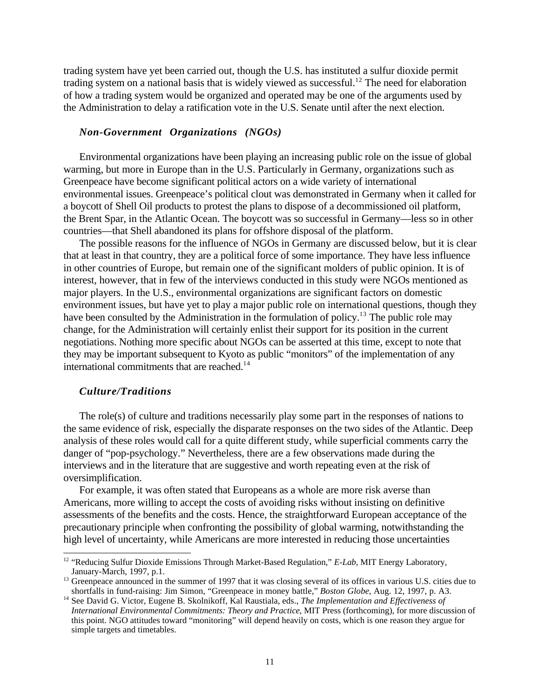trading system have yet been carried out, though the U.S. has instituted a sulfur dioxide permit trading system on a national basis that is widely viewed as successful.<sup>12</sup> The need for elaboration of how a trading system would be organized and operated may be one of the arguments used by the Administration to delay a ratification vote in the U.S. Senate until after the next election.

## *Non-Government Organizations (NGOs)*

Environmental organizations have been playing an increasing public role on the issue of global warming, but more in Europe than in the U.S. Particularly in Germany, organizations such as Greenpeace have become significant political actors on a wide variety of international environmental issues. Greenpeace's political clout was demonstrated in Germany when it called for a boycott of Shell Oil products to protest the plans to dispose of a decommissioned oil platform, the Brent Spar, in the Atlantic Ocean. The boycott was so successful in Germany—less so in other countries—that Shell abandoned its plans for offshore disposal of the platform.

The possible reasons for the influence of NGOs in Germany are discussed below, but it is clear that at least in that country, they are a political force of some importance. They have less influence in other countries of Europe, but remain one of the significant molders of public opinion. It is of interest, however, that in few of the interviews conducted in this study were NGOs mentioned as major players. In the U.S., environmental organizations are significant factors on domestic environment issues, but have yet to play a major public role on international questions, though they have been consulted by the Administration in the formulation of policy.<sup>13</sup> The public role may change, for the Administration will certainly enlist their support for its position in the current negotiations. Nothing more specific about NGOs can be asserted at this time, except to note that they may be important subsequent to Kyoto as public "monitors" of the implementation of any international commitments that are reached.<sup>14</sup>

## *Culture/Traditions*

 $\overline{a}$ 

The role(s) of culture and traditions necessarily play some part in the responses of nations to the same evidence of risk, especially the disparate responses on the two sides of the Atlantic. Deep analysis of these roles would call for a quite different study, while superficial comments carry the danger of "pop-psychology." Nevertheless, there are a few observations made during the interviews and in the literature that are suggestive and worth repeating even at the risk of oversimplification.

For example, it was often stated that Europeans as a whole are more risk averse than Americans, more willing to accept the costs of avoiding risks without insisting on definitive assessments of the benefits and the costs. Hence, the straightforward European acceptance of the precautionary principle when confronting the possibility of global warming, notwithstanding the high level of uncertainty, while Americans are more interested in reducing those uncertainties

<sup>&</sup>lt;sup>12</sup> "Reducing Sulfur Dioxide Emissions Through Market-Based Regulation," *E-Lab*, MIT Energy Laboratory, January-March, 1997, p.1.

<sup>&</sup>lt;sup>13</sup> Greenpeace announced in the summer of 1997 that it was closing several of its offices in various U.S. cities due to shortfalls in fund-raising: Jim Simon, "Greenpeace in money battle," *Boston Globe*, Aug. 12, 1997, p. A3.

<sup>14</sup> See David G. Victor, Eugene B. Skolnikoff, Kal Raustiala, eds., *The Implementation and Effectiveness of International Environmental Commitments: Theory and Practice*, MIT Press (forthcoming), for more discussion of this point. NGO attitudes toward "monitoring" will depend heavily on costs, which is one reason they argue for simple targets and timetables.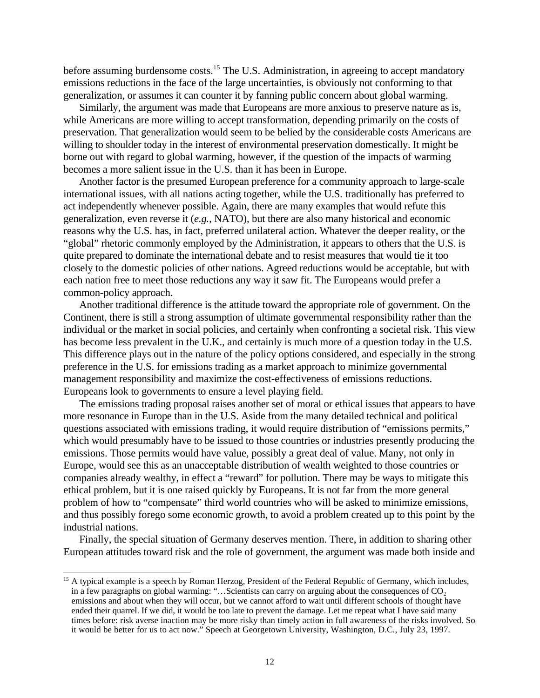before assuming burdensome costs.<sup>15</sup> The U.S. Administration, in agreeing to accept mandatory emissions reductions in the face of the large uncertainties, is obviously not conforming to that generalization, or assumes it can counter it by fanning public concern about global warming.

Similarly, the argument was made that Europeans are more anxious to preserve nature as is, while Americans are more willing to accept transformation, depending primarily on the costs of preservation. That generalization would seem to be belied by the considerable costs Americans are willing to shoulder today in the interest of environmental preservation domestically. It might be borne out with regard to global warming, however, if the question of the impacts of warming becomes a more salient issue in the U.S. than it has been in Europe.

Another factor is the presumed European preference for a community approach to large-scale international issues, with all nations acting together, while the U.S. traditionally has preferred to act independently whenever possible. Again, there are many examples that would refute this generalization, even reverse it (*e.g.*, NATO), but there are also many historical and economic reasons why the U.S. has, in fact, preferred unilateral action. Whatever the deeper reality, or the "global" rhetoric commonly employed by the Administration, it appears to others that the U.S. is quite prepared to dominate the international debate and to resist measures that would tie it too closely to the domestic policies of other nations. Agreed reductions would be acceptable, but with each nation free to meet those reductions any way it saw fit. The Europeans would prefer a common-policy approach.

Another traditional difference is the attitude toward the appropriate role of government. On the Continent, there is still a strong assumption of ultimate governmental responsibility rather than the individual or the market in social policies, and certainly when confronting a societal risk. This view has become less prevalent in the U.K., and certainly is much more of a question today in the U.S. This difference plays out in the nature of the policy options considered, and especially in the strong preference in the U.S. for emissions trading as a market approach to minimize governmental management responsibility and maximize the cost-effectiveness of emissions reductions. Europeans look to governments to ensure a level playing field.

The emissions trading proposal raises another set of moral or ethical issues that appears to have more resonance in Europe than in the U.S. Aside from the many detailed technical and political questions associated with emissions trading, it would require distribution of "emissions permits," which would presumably have to be issued to those countries or industries presently producing the emissions. Those permits would have value, possibly a great deal of value. Many, not only in Europe, would see this as an unacceptable distribution of wealth weighted to those countries or companies already wealthy, in effect a "reward" for pollution. There may be ways to mitigate this ethical problem, but it is one raised quickly by Europeans. It is not far from the more general problem of how to "compensate" third world countries who will be asked to minimize emissions, and thus possibly forego some economic growth, to avoid a problem created up to this point by the industrial nations.

Finally, the special situation of Germany deserves mention. There, in addition to sharing other European attitudes toward risk and the role of government, the argument was made both inside and

<sup>&</sup>lt;sup>15</sup> A typical example is a speech by Roman Herzog, President of the Federal Republic of Germany, which includes, in a few paragraphs on global warming: "...Scientists can carry on arguing about the consequences of  $CO<sub>2</sub>$ emissions and about when they will occur, but we cannot afford to wait until different schools of thought have ended their quarrel. If we did, it would be too late to prevent the damage. Let me repeat what I have said many times before: risk averse inaction may be more risky than timely action in full awareness of the risks involved. So it would be better for us to act now." Speech at Georgetown University, Washington, D.C., July 23, 1997.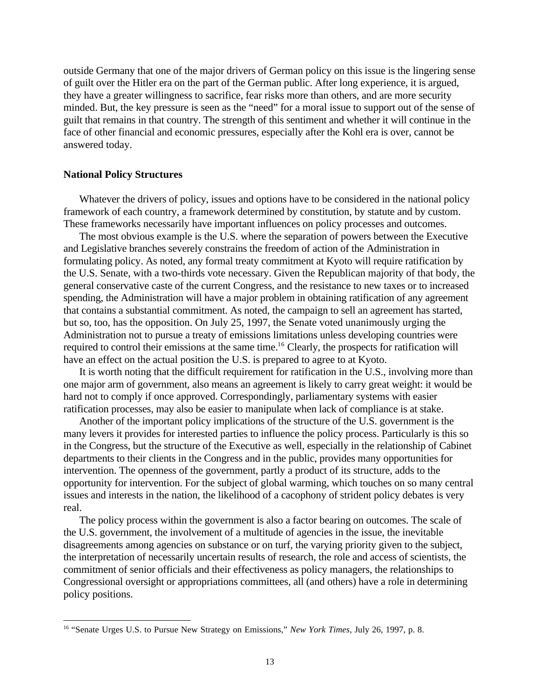outside Germany that one of the major drivers of German policy on this issue is the lingering sense of guilt over the Hitler era on the part of the German public. After long experience, it is argued, they have a greater willingness to sacrifice, fear risks more than others, and are more security minded. But, the key pressure is seen as the "need" for a moral issue to support out of the sense of guilt that remains in that country. The strength of this sentiment and whether it will continue in the face of other financial and economic pressures, especially after the Kohl era is over, cannot be answered today.

### **National Policy Structures**

Whatever the drivers of policy, issues and options have to be considered in the national policy framework of each country, a framework determined by constitution, by statute and by custom. These frameworks necessarily have important influences on policy processes and outcomes.

The most obvious example is the U.S. where the separation of powers between the Executive and Legislative branches severely constrains the freedom of action of the Administration in formulating policy. As noted, any formal treaty commitment at Kyoto will require ratification by the U.S. Senate, with a two-thirds vote necessary. Given the Republican majority of that body, the general conservative caste of the current Congress, and the resistance to new taxes or to increased spending, the Administration will have a major problem in obtaining ratification of any agreement that contains a substantial commitment. As noted, the campaign to sell an agreement has started, but so, too, has the opposition. On July 25, 1997, the Senate voted unanimously urging the Administration not to pursue a treaty of emissions limitations unless developing countries were required to control their emissions at the same time.<sup>16</sup> Clearly, the prospects for ratification will have an effect on the actual position the U.S. is prepared to agree to at Kyoto.

It is worth noting that the difficult requirement for ratification in the U.S., involving more than one major arm of government, also means an agreement is likely to carry great weight: it would be hard not to comply if once approved. Correspondingly, parliamentary systems with easier ratification processes, may also be easier to manipulate when lack of compliance is at stake.

Another of the important policy implications of the structure of the U.S. government is the many levers it provides for interested parties to influence the policy process. Particularly is this so in the Congress, but the structure of the Executive as well, especially in the relationship of Cabinet departments to their clients in the Congress and in the public, provides many opportunities for intervention. The openness of the government, partly a product of its structure, adds to the opportunity for intervention. For the subject of global warming, which touches on so many central issues and interests in the nation, the likelihood of a cacophony of strident policy debates is very real.

The policy process within the government is also a factor bearing on outcomes. The scale of the U.S. government, the involvement of a multitude of agencies in the issue, the inevitable disagreements among agencies on substance or on turf, the varying priority given to the subject, the interpretation of necessarily uncertain results of research, the role and access of scientists, the commitment of senior officials and their effectiveness as policy managers, the relationships to Congressional oversight or appropriations committees, all (and others) have a role in determining policy positions.

<sup>&</sup>lt;u>.</u> <sup>16</sup> "Senate Urges U.S. to Pursue New Strategy on Emissions," *New York Times*, July 26, 1997, p. 8.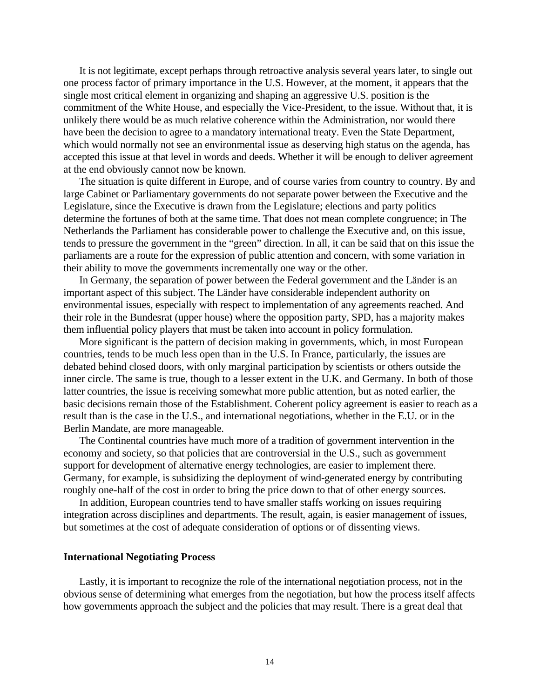It is not legitimate, except perhaps through retroactive analysis several years later, to single out one process factor of primary importance in the U.S. However, at the moment, it appears that the single most critical element in organizing and shaping an aggressive U.S. position is the commitment of the White House, and especially the Vice-President, to the issue. Without that, it is unlikely there would be as much relative coherence within the Administration, nor would there have been the decision to agree to a mandatory international treaty. Even the State Department, which would normally not see an environmental issue as deserving high status on the agenda, has accepted this issue at that level in words and deeds. Whether it will be enough to deliver agreement at the end obviously cannot now be known.

The situation is quite different in Europe, and of course varies from country to country. By and large Cabinet or Parliamentary governments do not separate power between the Executive and the Legislature, since the Executive is drawn from the Legislature; elections and party politics determine the fortunes of both at the same time. That does not mean complete congruence; in The Netherlands the Parliament has considerable power to challenge the Executive and, on this issue, tends to pressure the government in the "green" direction. In all, it can be said that on this issue the parliaments are a route for the expression of public attention and concern, with some variation in their ability to move the governments incrementally one way or the other.

In Germany, the separation of power between the Federal government and the Länder is an important aspect of this subject. The Länder have considerable independent authority on environmental issues, especially with respect to implementation of any agreements reached. And their role in the Bundesrat (upper house) where the opposition party, SPD, has a majority makes them influential policy players that must be taken into account in policy formulation.

More significant is the pattern of decision making in governments, which, in most European countries, tends to be much less open than in the U.S. In France, particularly, the issues are debated behind closed doors, with only marginal participation by scientists or others outside the inner circle. The same is true, though to a lesser extent in the U.K. and Germany. In both of those latter countries, the issue is receiving somewhat more public attention, but as noted earlier, the basic decisions remain those of the Establishment. Coherent policy agreement is easier to reach as a result than is the case in the U.S., and international negotiations, whether in the E.U. or in the Berlin Mandate, are more manageable.

The Continental countries have much more of a tradition of government intervention in the economy and society, so that policies that are controversial in the U.S., such as government support for development of alternative energy technologies, are easier to implement there. Germany, for example, is subsidizing the deployment of wind-generated energy by contributing roughly one-half of the cost in order to bring the price down to that of other energy sources.

In addition, European countries tend to have smaller staffs working on issues requiring integration across disciplines and departments. The result, again, is easier management of issues, but sometimes at the cost of adequate consideration of options or of dissenting views.

#### **International Negotiating Process**

Lastly, it is important to recognize the role of the international negotiation process, not in the obvious sense of determining what emerges from the negotiation, but how the process itself affects how governments approach the subject and the policies that may result. There is a great deal that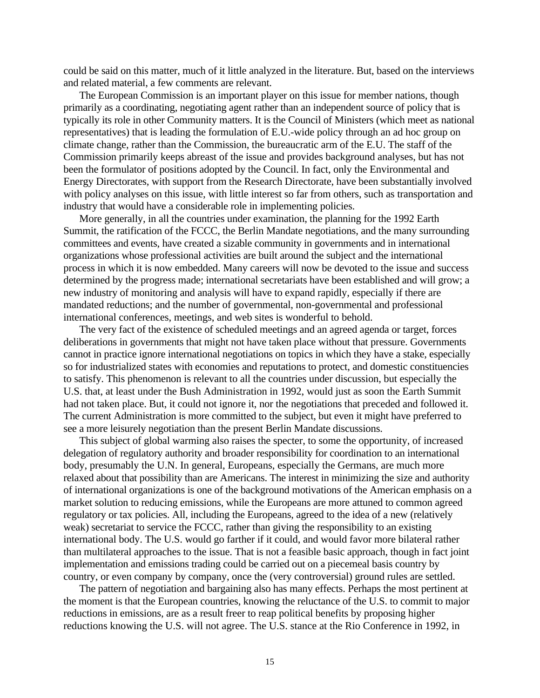could be said on this matter, much of it little analyzed in the literature. But, based on the interviews and related material, a few comments are relevant.

The European Commission is an important player on this issue for member nations, though primarily as a coordinating, negotiating agent rather than an independent source of policy that is typically its role in other Community matters. It is the Council of Ministers (which meet as national representatives) that is leading the formulation of E.U.-wide policy through an ad hoc group on climate change, rather than the Commission, the bureaucratic arm of the E.U. The staff of the Commission primarily keeps abreast of the issue and provides background analyses, but has not been the formulator of positions adopted by the Council. In fact, only the Environmental and Energy Directorates, with support from the Research Directorate, have been substantially involved with policy analyses on this issue, with little interest so far from others, such as transportation and industry that would have a considerable role in implementing policies.

More generally, in all the countries under examination, the planning for the 1992 Earth Summit, the ratification of the FCCC, the Berlin Mandate negotiations, and the many surrounding committees and events, have created a sizable community in governments and in international organizations whose professional activities are built around the subject and the international process in which it is now embedded. Many careers will now be devoted to the issue and success determined by the progress made; international secretariats have been established and will grow; a new industry of monitoring and analysis will have to expand rapidly, especially if there are mandated reductions; and the number of governmental, non-governmental and professional international conferences, meetings, and web sites is wonderful to behold.

The very fact of the existence of scheduled meetings and an agreed agenda or target, forces deliberations in governments that might not have taken place without that pressure. Governments cannot in practice ignore international negotiations on topics in which they have a stake, especially so for industrialized states with economies and reputations to protect, and domestic constituencies to satisfy. This phenomenon is relevant to all the countries under discussion, but especially the U.S. that, at least under the Bush Administration in 1992, would just as soon the Earth Summit had not taken place. But, it could not ignore it, nor the negotiations that preceded and followed it. The current Administration is more committed to the subject, but even it might have preferred to see a more leisurely negotiation than the present Berlin Mandate discussions.

This subject of global warming also raises the specter, to some the opportunity, of increased delegation of regulatory authority and broader responsibility for coordination to an international body, presumably the U.N. In general, Europeans, especially the Germans, are much more relaxed about that possibility than are Americans. The interest in minimizing the size and authority of international organizations is one of the background motivations of the American emphasis on a market solution to reducing emissions, while the Europeans are more attuned to common agreed regulatory or tax policies. All, including the Europeans, agreed to the idea of a new (relatively weak) secretariat to service the FCCC, rather than giving the responsibility to an existing international body. The U.S. would go farther if it could, and would favor more bilateral rather than multilateral approaches to the issue. That is not a feasible basic approach, though in fact joint implementation and emissions trading could be carried out on a piecemeal basis country by country, or even company by company, once the (very controversial) ground rules are settled.

The pattern of negotiation and bargaining also has many effects. Perhaps the most pertinent at the moment is that the European countries, knowing the reluctance of the U.S. to commit to major reductions in emissions, are as a result freer to reap political benefits by proposing higher reductions knowing the U.S. will not agree. The U.S. stance at the Rio Conference in 1992, in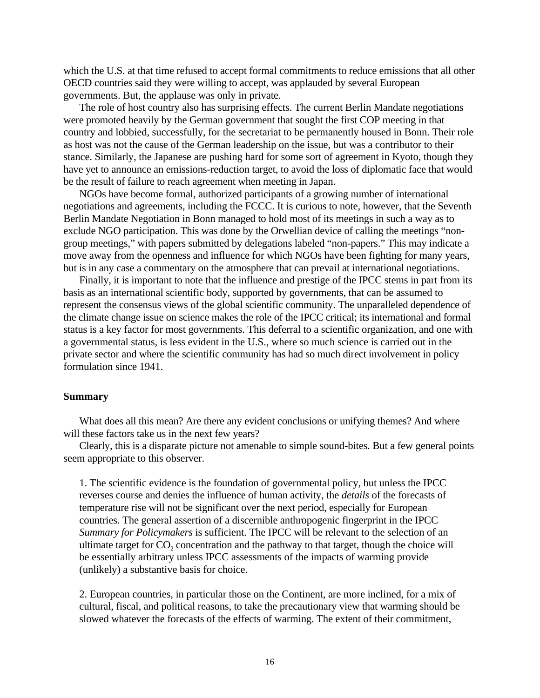which the U.S. at that time refused to accept formal commitments to reduce emissions that all other OECD countries said they were willing to accept, was applauded by several European governments. But, the applause was only in private.

The role of host country also has surprising effects. The current Berlin Mandate negotiations were promoted heavily by the German government that sought the first COP meeting in that country and lobbied, successfully, for the secretariat to be permanently housed in Bonn. Their role as host was not the cause of the German leadership on the issue, but was a contributor to their stance. Similarly, the Japanese are pushing hard for some sort of agreement in Kyoto, though they have yet to announce an emissions-reduction target, to avoid the loss of diplomatic face that would be the result of failure to reach agreement when meeting in Japan.

NGOs have become formal, authorized participants of a growing number of international negotiations and agreements, including the FCCC. It is curious to note, however, that the Seventh Berlin Mandate Negotiation in Bonn managed to hold most of its meetings in such a way as to exclude NGO participation. This was done by the Orwellian device of calling the meetings "nongroup meetings," with papers submitted by delegations labeled "non-papers." This may indicate a move away from the openness and influence for which NGOs have been fighting for many years, but is in any case a commentary on the atmosphere that can prevail at international negotiations.

Finally, it is important to note that the influence and prestige of the IPCC stems in part from its basis as an international scientific body, supported by governments, that can be assumed to represent the consensus views of the global scientific community. The unparalleled dependence of the climate change issue on science makes the role of the IPCC critical; its international and formal status is a key factor for most governments. This deferral to a scientific organization, and one with a governmental status, is less evident in the U.S., where so much science is carried out in the private sector and where the scientific community has had so much direct involvement in policy formulation since 1941.

## **Summary**

What does all this mean? Are there any evident conclusions or unifying themes? And where will these factors take us in the next few years?

Clearly, this is a disparate picture not amenable to simple sound-bites. But a few general points seem appropriate to this observer.

1. The scientific evidence is the foundation of governmental policy, but unless the IPCC reverses course and denies the influence of human activity, the *details* of the forecasts of temperature rise will not be significant over the next period, especially for European countries. The general assertion of a discernible anthropogenic fingerprint in the IPCC *Summary for Policymakers* is sufficient. The IPCC will be relevant to the selection of an ultimate target for  $CO<sub>2</sub>$  concentration and the pathway to that target, though the choice will be essentially arbitrary unless IPCC assessments of the impacts of warming provide (unlikely) a substantive basis for choice.

2. European countries, in particular those on the Continent, are more inclined, for a mix of cultural, fiscal, and political reasons, to take the precautionary view that warming should be slowed whatever the forecasts of the effects of warming. The extent of their commitment,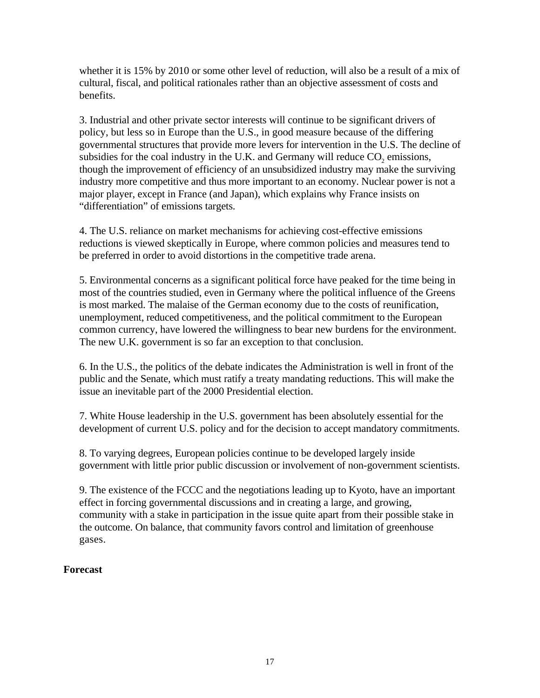whether it is 15% by 2010 or some other level of reduction, will also be a result of a mix of cultural, fiscal, and political rationales rather than an objective assessment of costs and benefits.

3. Industrial and other private sector interests will continue to be significant drivers of policy, but less so in Europe than the U.S., in good measure because of the differing governmental structures that provide more levers for intervention in the U.S. The decline of subsidies for the coal industry in the U.K. and Germany will reduce  $CO<sub>2</sub>$  emissions, though the improvement of efficiency of an unsubsidized industry may make the surviving industry more competitive and thus more important to an economy. Nuclear power is not a major player, except in France (and Japan), which explains why France insists on "differentiation" of emissions targets.

4. The U.S. reliance on market mechanisms for achieving cost-effective emissions reductions is viewed skeptically in Europe, where common policies and measures tend to be preferred in order to avoid distortions in the competitive trade arena.

5. Environmental concerns as a significant political force have peaked for the time being in most of the countries studied, even in Germany where the political influence of the Greens is most marked. The malaise of the German economy due to the costs of reunification, unemployment, reduced competitiveness, and the political commitment to the European common currency, have lowered the willingness to bear new burdens for the environment. The new U.K. government is so far an exception to that conclusion.

6. In the U.S., the politics of the debate indicates the Administration is well in front of the public and the Senate, which must ratify a treaty mandating reductions. This will make the issue an inevitable part of the 2000 Presidential election.

7. White House leadership in the U.S. government has been absolutely essential for the development of current U.S. policy and for the decision to accept mandatory commitments.

8. To varying degrees, European policies continue to be developed largely inside government with little prior public discussion or involvement of non-government scientists.

9. The existence of the FCCC and the negotiations leading up to Kyoto, have an important effect in forcing governmental discussions and in creating a large, and growing, community with a stake in participation in the issue quite apart from their possible stake in the outcome. On balance, that community favors control and limitation of greenhouse gases.

## **Forecast**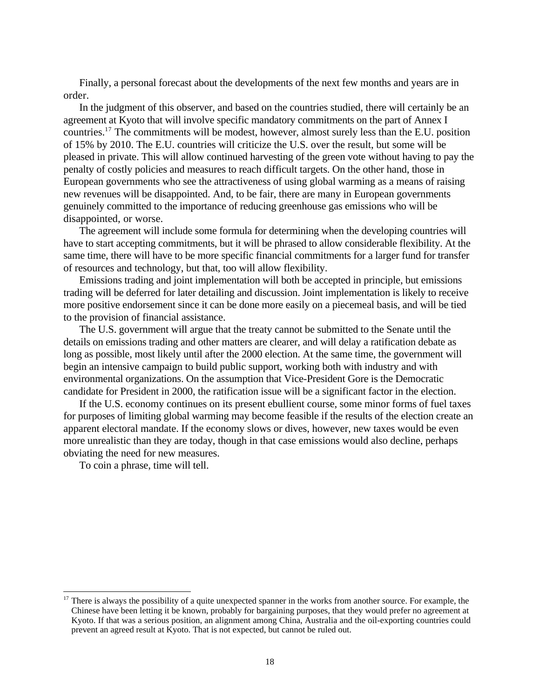Finally, a personal forecast about the developments of the next few months and years are in order.

In the judgment of this observer, and based on the countries studied, there will certainly be an agreement at Kyoto that will involve specific mandatory commitments on the part of Annex I countries.17 The commitments will be modest, however, almost surely less than the E.U. position of 15% by 2010. The E.U. countries will criticize the U.S. over the result, but some will be pleased in private. This will allow continued harvesting of the green vote without having to pay the penalty of costly policies and measures to reach difficult targets. On the other hand, those in European governments who see the attractiveness of using global warming as a means of raising new revenues will be disappointed. And, to be fair, there are many in European governments genuinely committed to the importance of reducing greenhouse gas emissions who will be disappointed, or worse.

The agreement will include some formula for determining when the developing countries will have to start accepting commitments, but it will be phrased to allow considerable flexibility. At the same time, there will have to be more specific financial commitments for a larger fund for transfer of resources and technology, but that, too will allow flexibility.

Emissions trading and joint implementation will both be accepted in principle, but emissions trading will be deferred for later detailing and discussion. Joint implementation is likely to receive more positive endorsement since it can be done more easily on a piecemeal basis, and will be tied to the provision of financial assistance.

The U.S. government will argue that the treaty cannot be submitted to the Senate until the details on emissions trading and other matters are clearer, and will delay a ratification debate as long as possible, most likely until after the 2000 election. At the same time, the government will begin an intensive campaign to build public support, working both with industry and with environmental organizations. On the assumption that Vice-President Gore is the Democratic candidate for President in 2000, the ratification issue will be a significant factor in the election.

If the U.S. economy continues on its present ebullient course, some minor forms of fuel taxes for purposes of limiting global warming may become feasible if the results of the election create an apparent electoral mandate. If the economy slows or dives, however, new taxes would be even more unrealistic than they are today, though in that case emissions would also decline, perhaps obviating the need for new measures.

To coin a phrase, time will tell.

 $17$  There is always the possibility of a quite unexpected spanner in the works from another source. For example, the Chinese have been letting it be known, probably for bargaining purposes, that they would prefer no agreement at Kyoto. If that was a serious position, an alignment among China, Australia and the oil-exporting countries could prevent an agreed result at Kyoto. That is not expected, but cannot be ruled out.